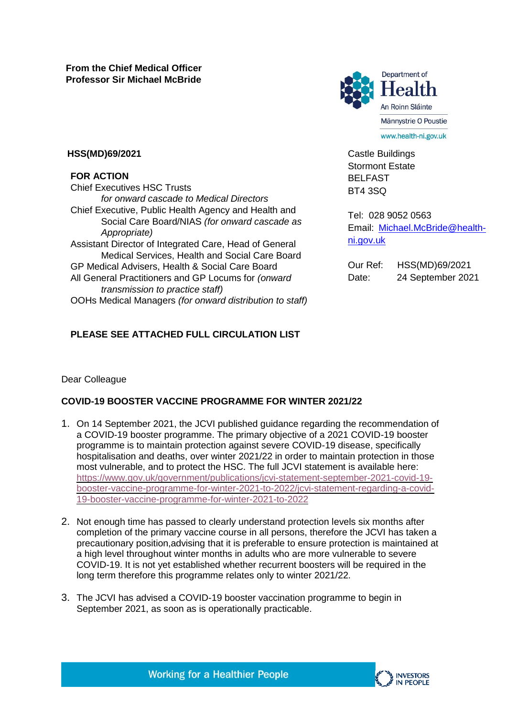

Castle Buildings Stormont Estate BELFAST BT4 3SQ

Tel: 028 9052 0563 Email: [Michael.McBride@health](mailto:Michael.McBride@health-ni.gov.uk)[ni.gov.uk](mailto:Michael.McBride@health-ni.gov.uk)

Our Ref: HSS(MD)69/2021 Date: 24 September 2021

### **HSS(MD)69/2021**

### **FOR ACTION**

Chief Executives HSC Trusts *for onward cascade to Medical Directors* Chief Executive, Public Health Agency and Health and Social Care Board/NIAS *(for onward cascade as Appropriate)* Assistant Director of Integrated Care, Head of General Medical Services, Health and Social Care Board GP Medical Advisers, Health & Social Care Board All General Practitioners and GP Locums for *(onward transmission to practice staff)* OOHs Medical Managers *(for onward distribution to staff)*

# **PLEASE SEE ATTACHED FULL CIRCULATION LIST**

## Dear Colleague

# **COVID-19 BOOSTER VACCINE PROGRAMME FOR WINTER 2021/22**

- 1. On 14 September 2021, the JCVI published guidance regarding the recommendation of a COVID-19 booster programme. The primary objective of a 2021 COVID-19 booster programme is to maintain protection against severe COVID-19 disease, specifically hospitalisation and deaths, over winter 2021/22 in order to maintain protection in those most vulnerable, and to protect the HSC. The full JCVI statement is available here: [https://www.gov.uk/government/publications/jcvi-statement-september-2021-covid-19](https://www.gov.uk/government/publications/jcvi-statement-september-2021-covid-19-booster-vaccine-programme-for-winter-2021-to-2022/jcvi-statement-regarding-a-covid-19-booster-vaccine-programme-for-winter-2021-to-2022) [booster-vaccine-programme-for-winter-2021-to-2022/jcvi-statement-regarding-a-covid-](https://www.gov.uk/government/publications/jcvi-statement-september-2021-covid-19-booster-vaccine-programme-for-winter-2021-to-2022/jcvi-statement-regarding-a-covid-19-booster-vaccine-programme-for-winter-2021-to-2022)[19-booster-vaccine-programme-for-winter-2021-to-2022](https://www.gov.uk/government/publications/jcvi-statement-september-2021-covid-19-booster-vaccine-programme-for-winter-2021-to-2022/jcvi-statement-regarding-a-covid-19-booster-vaccine-programme-for-winter-2021-to-2022)
- 2. Not enough time has passed to clearly understand protection levels six months after completion of the primary vaccine course in all persons, therefore the JCVI has taken a precautionary position,advising that it is preferable to ensure protection is maintained at a high level throughout winter months in adults who are more vulnerable to severe COVID-19. It is not yet established whether recurrent boosters will be required in the long term therefore this programme relates only to winter 2021/22.
- 3. The JCVI has advised a COVID-19 booster vaccination programme to begin in September 2021, as soon as is operationally practicable.

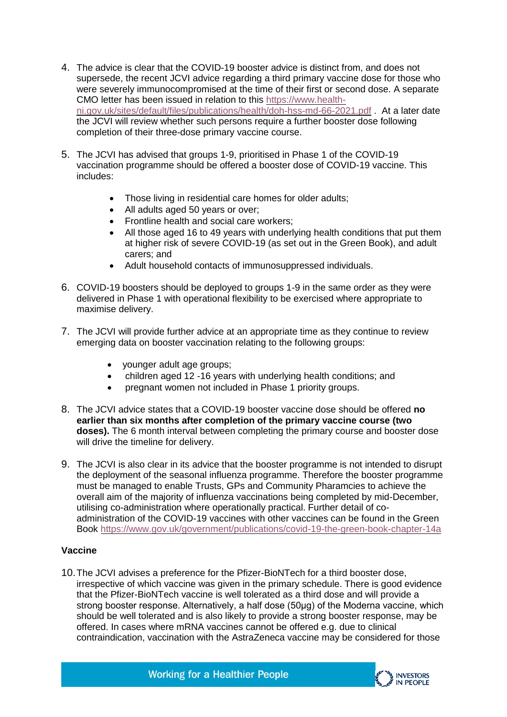- 4. The advice is clear that the COVID-19 booster advice is distinct from, and does not supersede, the recent JCVI advice regarding a third primary vaccine dose for those who were severely immunocompromised at the time of their first or second dose. A separate CMO letter has been issued in relation to this [https://www.health](https://www.health-ni.gov.uk/sites/default/files/publications/health/doh-hss-md-66-2021.pdf)[ni.gov.uk/sites/default/files/publications/health/doh-hss-md-66-2021.pdf](https://www.health-ni.gov.uk/sites/default/files/publications/health/doh-hss-md-66-2021.pdf) . At a later date the JCVI will review whether such persons require a further booster dose following completion of their three-dose primary vaccine course.
- 5. The JCVI has advised that groups 1-9, prioritised in Phase 1 of the COVID-19 vaccination programme should be offered a booster dose of COVID-19 vaccine. This includes:
	- Those living in residential care homes for older adults;
	- All adults aged 50 years or over;
	- Frontline health and social care workers:
	- All those aged 16 to 49 years with underlying health conditions that put them at higher risk of severe COVID-19 (as set out in the Green Book), and adult carers; and
	- Adult household contacts of immunosuppressed individuals.
- 6. COVID-19 boosters should be deployed to groups 1-9 in the same order as they were delivered in Phase 1 with operational flexibility to be exercised where appropriate to maximise delivery.
- 7. The JCVI will provide further advice at an appropriate time as they continue to review emerging data on booster vaccination relating to the following groups:
	- younger adult age groups;
	- children aged 12 -16 years with underlying health conditions; and
	- pregnant women not included in Phase 1 priority groups.
- 8. The JCVI advice states that a COVID-19 booster vaccine dose should be offered **no earlier than six months after completion of the primary vaccine course (two doses).** The 6 month interval between completing the primary course and booster dose will drive the timeline for delivery.
- 9. The JCVI is also clear in its advice that the booster programme is not intended to disrupt the deployment of the seasonal influenza programme. Therefore the booster programme must be managed to enable Trusts, GPs and Community Pharamcies to achieve the overall aim of the majority of influenza vaccinations being completed by mid-December, utilising co-administration where operationally practical. Further detail of coadministration of the COVID-19 vaccines with other vaccines can be found in the Green Book<https://www.gov.uk/government/publications/covid-19-the-green-book-chapter-14a>

### **Vaccine**

10.The JCVI advises a preference for the Pfizer-BioNTech for a third booster dose, irrespective of which vaccine was given in the primary schedule. There is good evidence that the Pfizer-BioNTech vaccine is well tolerated as a third dose and will provide a strong booster response. Alternatively, a half dose (50μg) of the Moderna vaccine, which should be well tolerated and is also likely to provide a strong booster response, may be offered. In cases where mRNA vaccines cannot be offered e.g. due to clinical contraindication, vaccination with the AstraZeneca vaccine may be considered for those



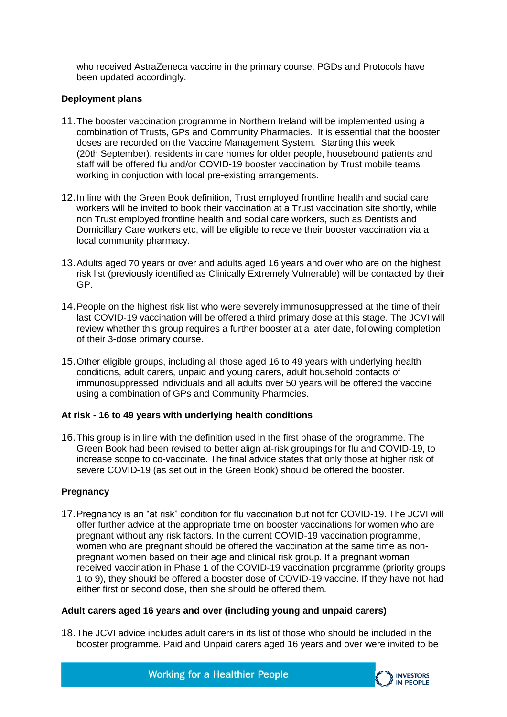who received AstraZeneca vaccine in the primary course. PGDs and Protocols have been updated accordingly.

### **Deployment plans**

- 11.The booster vaccination programme in Northern Ireland will be implemented using a combination of Trusts, GPs and Community Pharmacies. It is essential that the booster doses are recorded on the Vaccine Management System. Starting this week (20th September), residents in care homes for older people, housebound patients and staff will be offered flu and/or COVID-19 booster vaccination by Trust mobile teams working in conjuction with local pre-existing arrangements.
- 12.In line with the Green Book definition, Trust employed frontline health and social care workers will be invited to book their vaccination at a Trust vaccination site shortly, while non Trust employed frontline health and social care workers, such as Dentists and Domicillary Care workers etc, will be eligible to receive their booster vaccination via a local community pharmacy.
- 13.Adults aged 70 years or over and adults aged 16 years and over who are on the highest risk list (previously identified as Clinically Extremely Vulnerable) will be contacted by their GP.
- 14.People on the highest risk list who were severely immunosuppressed at the time of their last COVID-19 vaccination will be offered a third primary dose at this stage. The JCVI will review whether this group requires a further booster at a later date, following completion of their 3-dose primary course.
- 15.Other eligible groups, including all those aged 16 to 49 years with underlying health conditions, adult carers, unpaid and young carers, adult household contacts of immunosuppressed individuals and all adults over 50 years will be offered the vaccine using a combination of GPs and Community Pharmcies.

## **At risk - 16 to 49 years with underlying health conditions**

16.This group is in line with the definition used in the first phase of the programme. The Green Book had been revised to better align at-risk groupings for flu and COVID-19, to increase scope to co-vaccinate. The final advice states that only those at higher risk of severe COVID-19 (as set out in the Green Book) should be offered the booster.

## **Pregnancy**

17.Pregnancy is an "at risk" condition for flu vaccination but not for COVID-19. The JCVI will offer further advice at the appropriate time on booster vaccinations for women who are pregnant without any risk factors. In the current COVID-19 vaccination programme, women who are pregnant should be offered the vaccination at the same time as nonpregnant women based on their age and clinical risk group. If a pregnant woman received vaccination in Phase 1 of the COVID-19 vaccination programme (priority groups 1 to 9), they should be offered a booster dose of COVID-19 vaccine. If they have not had either first or second dose, then she should be offered them.

### **Adult carers aged 16 years and over (including young and unpaid carers)**

18.The JCVI advice includes adult carers in its list of those who should be included in the booster programme. Paid and Unpaid carers aged 16 years and over were invited to be

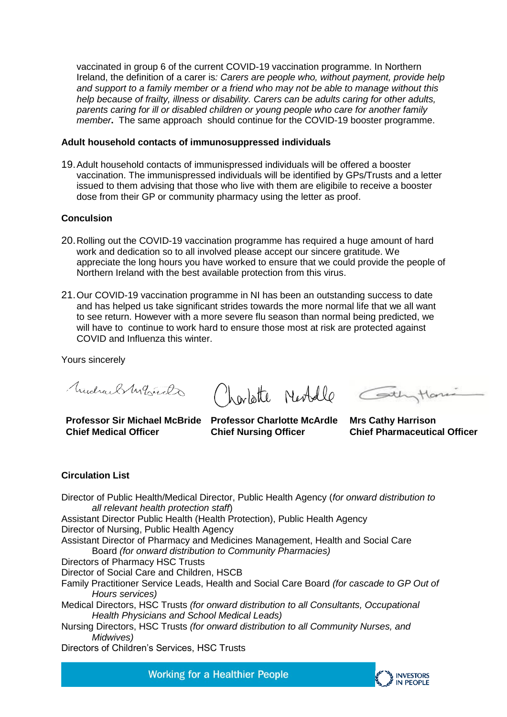vaccinated in group 6 of the current COVID-19 vaccination programme. In Northern Ireland, the definition of a carer is*: Carers are people who, without payment, provide help and support to a family member or a friend who may not be able to manage without this help because of frailty, illness or disability. Carers can be adults caring for other adults, parents caring for ill or disabled children or young people who care for another family member***.** The same approach should continue for the COVID-19 booster programme.

### **Adult household contacts of immunosuppressed individuals**

19.Adult household contacts of immunispressed individuals will be offered a booster vaccination. The immunispressed individuals will be identified by GPs/Trusts and a letter issued to them advising that those who live with them are eligibile to receive a booster dose from their GP or community pharmacy using the letter as proof.

### **Conculsion**

- 20.Rolling out the COVID-19 vaccination programme has required a huge amount of hard work and dedication so to all involved please accept our sincere gratitude. We appreciate the long hours you have worked to ensure that we could provide the people of Northern Ireland with the best available protection from this virus.
- 21.Our COVID-19 vaccination programme in NI has been an outstanding success to date and has helped us take significant strides towards the more normal life that we all want to see return. However with a more severe flu season than normal being predicted, we will have to continue to work hard to ensure those most at risk are protected against COVID and Influenza this winter.

Yours sincerely

Mudrael My hude

**Professor Sir Michael McBride Professor Charlotte McArdle Mrs Cathy Harrison Chief Medical Officer**

Charlotte Neobelle Car

**Chief Nursing Officer** 

Han

**Chief Pharmaceutical Officer**

### **Circulation List**

Director of Public Health/Medical Director, Public Health Agency (*for onward distribution to all relevant health protection staff*)

Assistant Director Public Health (Health Protection), Public Health Agency Director of Nursing, Public Health Agency

Assistant Director of Pharmacy and Medicines Management, Health and Social Care Board *(for onward distribution to Community Pharmacies)* 

Directors of Pharmacy HSC Trusts

Director of Social Care and Children, HSCB

Family Practitioner Service Leads, Health and Social Care Board *(for cascade to GP Out of Hours services)* 

Medical Directors, HSC Trusts *(for onward distribution to all Consultants, Occupational Health Physicians and School Medical Leads)* 

Nursing Directors, HSC Trusts *(for onward distribution to all Community Nurses, and Midwives)* 

Directors of Children's Services, HSC Trusts

**Working for a Healthier People**